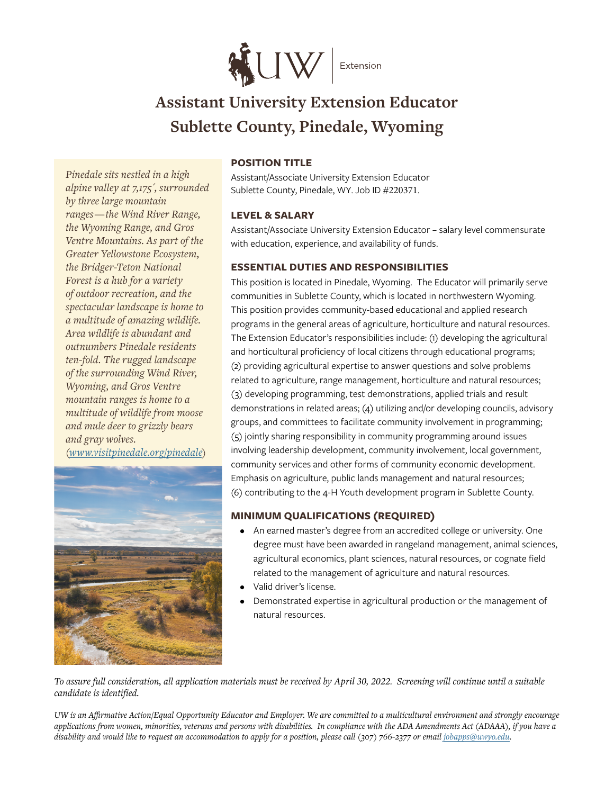

# **Assistant University Extension Educator Sublette County, Pinedale, Wyoming**

*Pinedale sits nestled in a high alpine valley at 7,175´, surrounded by three large mountain ranges — the Wind River Range, the Wyoming Range, and Gros Ventre Mountains. As part of the Greater Yellowstone Ecosystem, the Bridger-Teton National Forest is a hub for a variety of outdoor recreation, and the spectacular landscape is home to a multitude of amazing wildlife. Area wildlife is abundant and outnumbers Pinedale residents ten-fold. The rugged landscape of the surrounding Wind River, Wyoming, and Gros Ventre mountain ranges is home to a multitude of wildlife from moose and mule deer to grizzly bears and gray wolves. [\(www.visitpinedale.org/pinedale](http://www.visitpinedale.org/pinedale))*



## **POSITION TITLE**

Assistant/Associate University Extension Educator Sublette County, Pinedale, WY. Job ID #220371.

## **LEVEL & SALARY**

Assistant/Associate University Extension Educator – salary level commensurate with education, experience, and availability of funds.

## **ESSENTIAL DUTIES AND RESPONSIBILITIES**

This position is located in Pinedale, Wyoming. The Educator will primarily serve communities in Sublette County, which is located in northwestern Wyoming. This position provides community-based educational and applied research programs in the general areas of agriculture, horticulture and natural resources. The Extension Educator's responsibilities include: (1) developing the agricultural and horticultural proficiency of local citizens through educational programs; (2) providing agricultural expertise to answer questions and solve problems related to agriculture, range management, horticulture and natural resources; (3) developing programming, test demonstrations, applied trials and result demonstrations in related areas; (4) utilizing and/or developing councils, advisory groups, and committees to facilitate community involvement in programming; (5) jointly sharing responsibility in community programming around issues involving leadership development, community involvement, local government, community services and other forms of community economic development. Emphasis on agriculture, public lands management and natural resources; (6) contributing to the 4-H Youth development program in Sublette County.

## **MINIMUM QUALIFICATIONS (REQUIRED)**

- An earned master's degree from an accredited college or university. One degree must have been awarded in rangeland management, animal sciences, agricultural economics, plant sciences, natural resources, or cognate field related to the management of agriculture and natural resources.
- Valid driver's license.
- Demonstrated expertise in agricultural production or the management of natural resources.

*To assure full consideration, all application materials must be received by April 30, 2022. Screening will continue until a suitable candidate is identified.*

*UW is an Affirmative Action/Equal Opportunity Educator and Employer. We are committed to a multicultural environment and strongly encourage applications from women, minorities, veterans and persons with disabilities. In compliance with the ADA Amendments Act (ADAAA), if you have a*  disability and would like to request an accommodation to apply for a position, please call (307) 766-2377 or email *[jobapps@uwyo.edu](mailto:jobapps%40uwyo.edu?subject=)*.